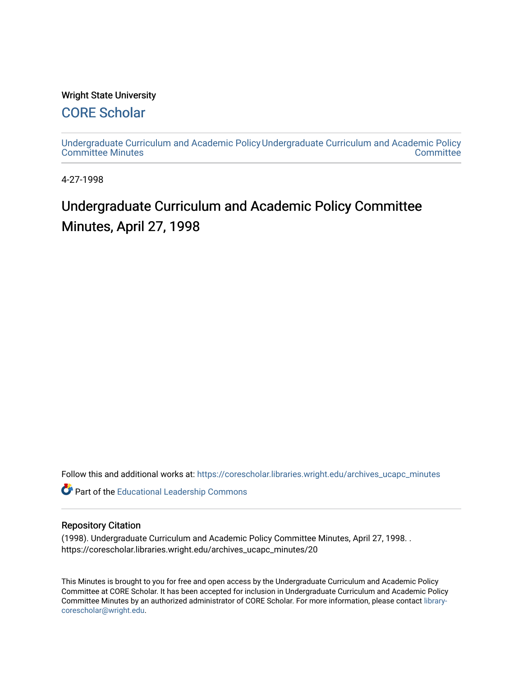#### Wright State University

## [CORE Scholar](https://corescholar.libraries.wright.edu/)

[Undergraduate Curriculum and Academic Policy](https://corescholar.libraries.wright.edu/archives_ucapc_minutes) [Undergraduate Curriculum and Academic Policy](https://corescholar.libraries.wright.edu/archives_ucapc)  [Committee Minutes](https://corescholar.libraries.wright.edu/archives_ucapc_minutes) **Committee** 

4-27-1998

# Undergraduate Curriculum and Academic Policy Committee Minutes, April 27, 1998

Follow this and additional works at: [https://corescholar.libraries.wright.edu/archives\\_ucapc\\_minutes](https://corescholar.libraries.wright.edu/archives_ucapc_minutes?utm_source=corescholar.libraries.wright.edu%2Farchives_ucapc_minutes%2F20&utm_medium=PDF&utm_campaign=PDFCoverPages) 

Part of the [Educational Leadership Commons](http://network.bepress.com/hgg/discipline/1230?utm_source=corescholar.libraries.wright.edu%2Farchives_ucapc_minutes%2F20&utm_medium=PDF&utm_campaign=PDFCoverPages) 

#### Repository Citation

(1998). Undergraduate Curriculum and Academic Policy Committee Minutes, April 27, 1998. . https://corescholar.libraries.wright.edu/archives\_ucapc\_minutes/20

This Minutes is brought to you for free and open access by the Undergraduate Curriculum and Academic Policy Committee at CORE Scholar. It has been accepted for inclusion in Undergraduate Curriculum and Academic Policy Committee Minutes by an authorized administrator of CORE Scholar. For more information, please contact [library](mailto:library-corescholar@wright.edu)[corescholar@wright.edu](mailto:library-corescholar@wright.edu).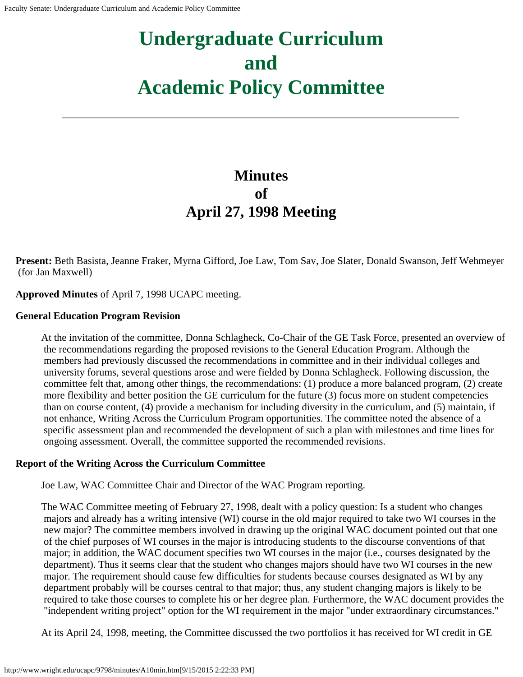# **Undergraduate Curriculum and Academic Policy Committee**

# **Minutes of April 27, 1998 Meeting**

**Present:** Beth Basista, Jeanne Fraker, Myrna Gifford, Joe Law, Tom Sav, Joe Slater, Donald Swanson, Jeff Wehmeyer (for Jan Maxwell)

**Approved Minutes** of April 7, 1998 UCAPC meeting.

#### **General Education Program Revision**

At the invitation of the committee, Donna Schlagheck, Co-Chair of the GE Task Force, presented an overview of the recommendations regarding the proposed revisions to the General Education Program. Although the members had previously discussed the recommendations in committee and in their individual colleges and university forums, several questions arose and were fielded by Donna Schlagheck. Following discussion, the committee felt that, among other things, the recommendations: (1) produce a more balanced program, (2) create more flexibility and better position the GE curriculum for the future (3) focus more on student competencies than on course content, (4) provide a mechanism for including diversity in the curriculum, and (5) maintain, if not enhance, Writing Across the Curriculum Program opportunities. The committee noted the absence of a specific assessment plan and recommended the development of such a plan with milestones and time lines for ongoing assessment. Overall, the committee supported the recommended revisions.

#### **Report of the Writing Across the Curriculum Committee**

Joe Law, WAC Committee Chair and Director of the WAC Program reporting.

The WAC Committee meeting of February 27, 1998, dealt with a policy question: Is a student who changes majors and already has a writing intensive (WI) course in the old major required to take two WI courses in the new major? The committee members involved in drawing up the original WAC document pointed out that one of the chief purposes of WI courses in the major is introducing students to the discourse conventions of that major; in addition, the WAC document specifies two WI courses in the major (i.e., courses designated by the department). Thus it seems clear that the student who changes majors should have two WI courses in the new major. The requirement should cause few difficulties for students because courses designated as WI by any department probably will be courses central to that major; thus, any student changing majors is likely to be required to take those courses to complete his or her degree plan. Furthermore, the WAC document provides the "independent writing project" option for the WI requirement in the major "under extraordinary circumstances."

At its April 24, 1998, meeting, the Committee discussed the two portfolios it has received for WI credit in GE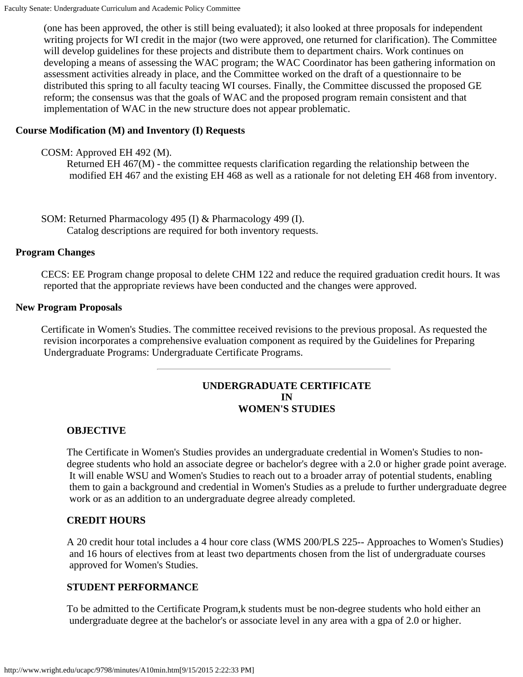(one has been approved, the other is still being evaluated); it also looked at three proposals for independent writing projects for WI credit in the major (two were approved, one returned for clarification). The Committee will develop guidelines for these projects and distribute them to department chairs. Work continues on developing a means of assessing the WAC program; the WAC Coordinator has been gathering information on assessment activities already in place, and the Committee worked on the draft of a questionnaire to be distributed this spring to all faculty teacing WI courses. Finally, the Committee discussed the proposed GE reform; the consensus was that the goals of WAC and the proposed program remain consistent and that implementation of WAC in the new structure does not appear problematic.

#### **Course Modification (M) and Inventory (I) Requests**

COSM: Approved EH 492 (M).

Returned EH 467(M) - the committee requests clarification regarding the relationship between the modified EH 467 and the existing EH 468 as well as a rationale for not deleting EH 468 from inventory.

SOM: Returned Pharmacology 495 (I) & Pharmacology 499 (I). Catalog descriptions are required for both inventory requests.

#### **Program Changes**

CECS: EE Program change proposal to delete CHM 122 and reduce the required graduation credit hours. It was reported that the appropriate reviews have been conducted and the changes were approved.

#### **New Program Proposals**

Certificate in Women's Studies. The committee received revisions to the previous proposal. As requested the revision incorporates a comprehensive evaluation component as required by the Guidelines for Preparing Undergraduate Programs: Undergraduate Certificate Programs.

#### **UNDERGRADUATE CERTIFICATE IN WOMEN'S STUDIES**

#### **OBJECTIVE**

The Certificate in Women's Studies provides an undergraduate credential in Women's Studies to nondegree students who hold an associate degree or bachelor's degree with a 2.0 or higher grade point average. It will enable WSU and Women's Studies to reach out to a broader array of potential students, enabling them to gain a background and credential in Women's Studies as a prelude to further undergraduate degree work or as an addition to an undergraduate degree already completed.

#### **CREDIT HOURS**

A 20 credit hour total includes a 4 hour core class (WMS 200/PLS 225-- Approaches to Women's Studies) and 16 hours of electives from at least two departments chosen from the list of undergraduate courses approved for Women's Studies.

#### **STUDENT PERFORMANCE**

To be admitted to the Certificate Program, k students must be non-degree students who hold either an undergraduate degree at the bachelor's or associate level in any area with a gpa of 2.0 or higher.